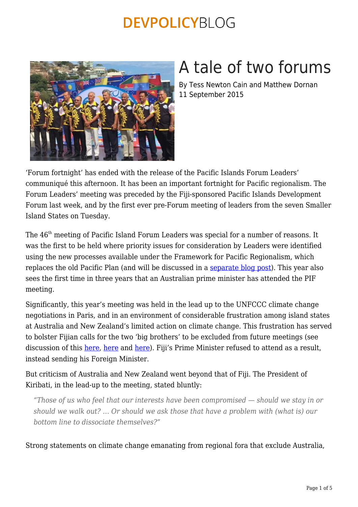

# A tale of two forums

By Tess Newton Cain and Matthew Dornan 11 September 2015

'Forum fortnight' has ended with the release of the Pacific Islands Forum Leaders' communiqué this afternoon. It has been an important fortnight for Pacific regionalism. The Forum Leaders' meeting was preceded by the Fiji-sponsored Pacific Islands Development Forum last week, and by the first ever pre-Forum meeting of leaders from the seven Smaller Island States on Tuesday.

The 46<sup>th</sup> meeting of Pacific Island Forum Leaders was special for a number of reasons. It was the first to be held where priority issues for consideration by Leaders were identified using the new processes available under the Framework for Pacific Regionalism, which replaces the old Pacific Plan (and will be discussed in a [separate blog post\)](https://devpolicy.org/the-moresby-forum-a-reframed-pacific-regionalism-20150930/). This year also sees the first time in three years that an Australian prime minister has attended the PIF meeting.

Significantly, this year's meeting was held in the lead up to the UNFCCC climate change negotiations in Paris, and in an environment of considerable frustration among island states at Australia and New Zealand's limited action on climate change. This frustration has served to bolster Fijian calls for the two 'big brothers' to be excluded from future meetings (see discussion of this [here](https://devpolicy.org/what-now-for-the-debate-on-the-future-of-pacific-regional-architecture-20150408/), here and here). Fiji's Prime Minister refused to attend as a result. instead sending his Foreign Minister.

But criticism of Australia and New Zealand went beyond that of Fiji. The President of Kiribati, in the lead-up to the meeting, stated bluntly:

*"Those of us who feel that our interests have been compromised — should we stay in or should we walk out? … Or should we ask those that have a problem with (what is) our bottom line to dissociate themselves?"*

Strong statements on climate change emanating from regional fora that exclude Australia,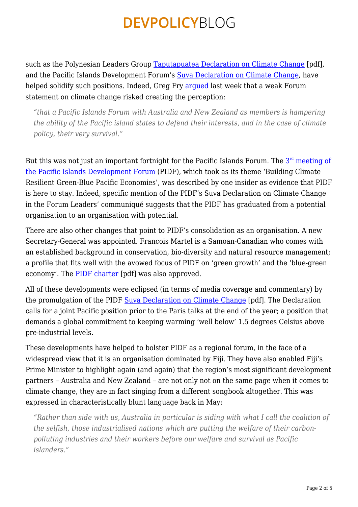such as the Polynesian Leaders Group [Taputapuatea Declaration on Climate Change](http://www.samoagovt.ws/wp-content/uploads/2015/07/The-Polynesian-P.A.C.T.pdf) [pdf], and the Pacific Islands Development Forum's [Suva Declaration on Climate Change,](http://www.radionz.co.nz/international/pacific-news/283103/bainimarama-accuses-canberra-of-undermining-pidf) have helped solidify such positions. Indeed, Greg Fry arqued last week that a weak Forum statement on climate change risked creating the perception:

*"that a Pacific Islands Forum with Australia and New Zealand as members is hampering the ability of the Pacific island states to defend their interests, and in the case of climate policy, their very survival."*

But this was not just an important fortnight for the Pacific Islands Forum. The  $3^{\rm rd}$  $3^{\rm rd}$  $3^{\rm rd}$  <u>meeting of</u> [the Pacific Islands Development Forum](http://pacificidf.org/3rd-pidf-summit/) (PIDF), which took as its theme 'Building Climate Resilient Green-Blue Pacific Economies', was described by one insider as evidence that PIDF is here to stay. Indeed, specific mention of the PIDF's Suva Declaration on Climate Change in the Forum Leaders' communiqué suggests that the PIDF has graduated from a potential organisation to an organisation with potential.

There are also other changes that point to PIDF's consolidation as an organisation. A new Secretary-General was appointed. Francois Martel is a Samoan-Canadian who comes with an established background in conservation, bio-diversity and natural resource management; a profile that fits well with the avowed focus of PIDF on 'green growth' and the 'blue-green economy'. The [PIDF charter](http://pacificidf.org/wp-content/uploads/2013/06/PIDF-CHARTER.pdf) [pdf] was also approved.

All of these developments were eclipsed (in terms of media coverage and commentary) by the promulgation of the PIDF [Suva Declaration on Climate Change](http://pacificidf.org/wp-content/uploads/2013/06/PACIFIC-ISLAND-DEVELOPMENT-FORUM-SUVA-DECLARATION-ON-CLIMATE-CHANGE.v2.pdf) [pdf]. The Declaration calls for a joint Pacific position prior to the Paris talks at the end of the year; a position that demands a global commitment to keeping warming 'well below' 1.5 degrees Celsius above pre-industrial levels.

These developments have helped to bolster PIDF as a regional forum, in the face of a widespread view that it is an organisation dominated by Fiji. They have also enabled Fiji's Prime Minister to highlight again (and again) that the region's most significant development partners – Australia and New Zealand – are not only not on the same page when it comes to climate change, they are in fact singing from a different songbook altogether. This was expressed in characteristically blunt language back in May:

*"Rather than side with us, Australia in particular is siding with what I call the coalition of the selfish, those industrialised nations which are putting the welfare of their carbonpolluting industries and their workers before our welfare and survival as Pacific islanders."*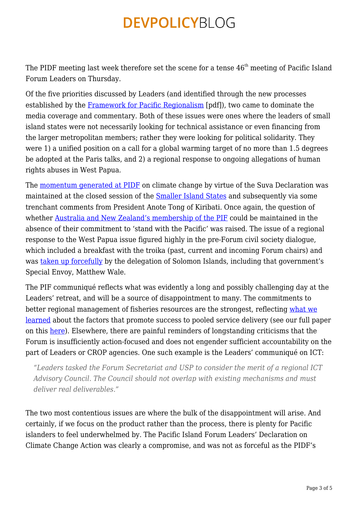The PIDF meeting last week therefore set the scene for a tense  $46<sup>th</sup>$  meeting of Pacific Island Forum Leaders on Thursday.

Of the five priorities discussed by Leaders (and identified through the new processes established by the [Framework for Pacific Regionalism](http://www.forumsec.org/resources/uploads/embeds/file/Framework%20for%20Pacific%20Regionalism_booklet.pdf) [pdf]), two came to dominate the media coverage and commentary. Both of these issues were ones where the leaders of small island states were not necessarily looking for technical assistance or even financing from the larger metropolitan members; rather they were looking for political solidarity. They were 1) a unified position on a call for a global warming target of no more than 1.5 degrees be adopted at the Paris talks, and 2) a regional response to ongoing allegations of human rights abuses in West Papua.

The [momentum generated at PIDF](https://devpolicy.org/pacific-climate-diplomacy-and-the-future-relevance-of-the-pacific-islands-forum-20150904/) on climate change by virtue of the Suva Declaration was maintained at the closed session of the [Smaller Island States](http://www.forumsec.org/pages.cfm/newsroom/press-statements/2015-media-releases/smaller-island-states-leaders-port-moresby-declaration-on-climate-change.html) and subsequently via some trenchant comments from President Anote Tong of Kiribati. Once again, the question of whether [Australia and New Zealand's membership of the PIF](http://www.smh.com.au/federal-politics/political-news/we-cannot-be-bought-on-climate-change-pacific-island-leader-warns-tony-abbott-20150908-gjhyv7.html) could be maintained in the absence of their commitment to 'stand with the Pacific' was raised. The issue of a regional response to the West Papua issue figured highly in the pre-Forum civil society dialogue, which included a breakfast with the troika (past, current and incoming Forum chairs) and was [taken up forcefully](http://pacific.scoop.co.nz/2015/09/solomon-islands-advocates-for-west-papua-at-pif/) by the delegation of Solomon Islands, including that government's Special Envoy, Matthew Wale.

The PIF communiqué reflects what was evidently a long and possibly challenging day at the Leaders' retreat, and will be a source of disappointment to many. The commitments to better regional management of fisheries resources are the strongest, reflecting [what we](https://devpolicy.org/regional-service-delivery-in-the-pacific-have-expectations-been-met/) [learned](https://devpolicy.org/regional-service-delivery-in-the-pacific-have-expectations-been-met/) about the factors that promote success to pooled service delivery (see our full paper on this [here](http://onlinelibrary.wiley.com/doi/10.1002/app5.45/abstract)). Elsewhere, there are painful reminders of longstanding criticisms that the Forum is insufficiently action-focused and does not engender sufficient accountability on the part of Leaders or CROP agencies. One such example is the Leaders' communiqué on ICT:

*"Leaders tasked the Forum Secretariat and USP to consider the merit of a regional ICT Advisory Council. The Council should not overlap with existing mechanisms and must deliver real deliverables."*

The two most contentious issues are where the bulk of the disappointment will arise. And certainly, if we focus on the product rather than the process, there is plenty for Pacific islanders to feel underwhelmed by. The Pacific Island Forum Leaders' Declaration on Climate Change Action was clearly a compromise, and was not as forceful as the PIDF's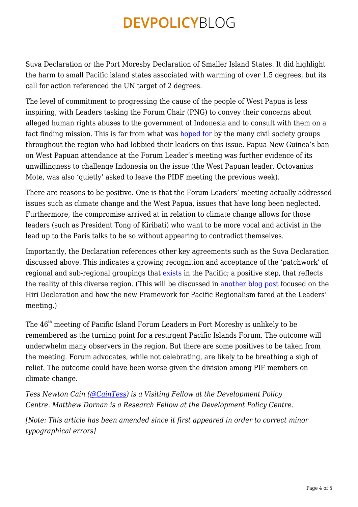Suva Declaration or the Port Moresby Declaration of Smaller Island States. It did highlight the harm to small Pacific island states associated with warming of over 1.5 degrees, but its call for action referenced the UN target of 2 degrees.

The level of commitment to progressing the cause of the people of West Papua is less inspiring, with Leaders tasking the Forum Chair (PNG) to convey their concerns about alleged human rights abuses to the government of Indonesia and to consult with them on a fact finding mission. This is far from what was [hoped for](http://pacific.scoop.co.nz/2015/09/solomon-islands-advocates-for-west-papua-at-pif/) by the many civil society groups throughout the region who had lobbied their leaders on this issue. Papua New Guinea's ban on West Papuan attendance at the Forum Leader's meeting was further evidence of its unwillingness to challenge Indonesia on the issue (the West Papuan leader, Octovanius Mote, was also 'quietly' asked to leave the PIDF meeting the previous week).

There are reasons to be positive. One is that the Forum Leaders' meeting actually addressed issues such as climate change and the West Papua, issues that have long been neglected. Furthermore, the compromise arrived at in relation to climate change allows for those leaders (such as President Tong of Kiribati) who want to be more vocal and activist in the lead up to the Paris talks to be so without appearing to contradict themselves.

Importantly, the Declaration references other key agreements such as the Suva Declaration discussed above. This indicates a growing recognition and acceptance of the 'patchwork' of regional and sub-regional groupings that [exists](http://onlinelibrary.wiley.com/doi/10.1002/app5.45/abstract) in the Pacific; a positive step, that reflects the reality of this diverse region. (This will be discussed in [another blog post](https://devpolicy.org/the-moresby-forum-a-reframed-pacific-regionalism-20150930/) focused on the Hiri Declaration and how the new Framework for Pacific Regionalism fared at the Leaders' meeting.)

The 46<sup>th</sup> meeting of Pacific Island Forum Leaders in Port Moresby is unlikely to be remembered as the turning point for a resurgent Pacific Islands Forum. The outcome will underwhelm many observers in the region. But there are some positives to be taken from the meeting. Forum advocates, while not celebrating, are likely to be breathing a sigh of relief. The outcome could have been worse given the division among PIF members on climate change.

*Tess Newton Cain ([@CainTess](http://devpolicy.us2.list-manage1.com/track/click?u=6ac2f42002877850c37072a5e&id=9fdd3d9005&e=d3c7487aab)) is a Visiting Fellow at the Development Policy Centre. Matthew Dornan is a Research Fellow at the Development Policy Centre.* 

*[Note: This article has been amended since it first appeared in order to correct minor typographical errors]*